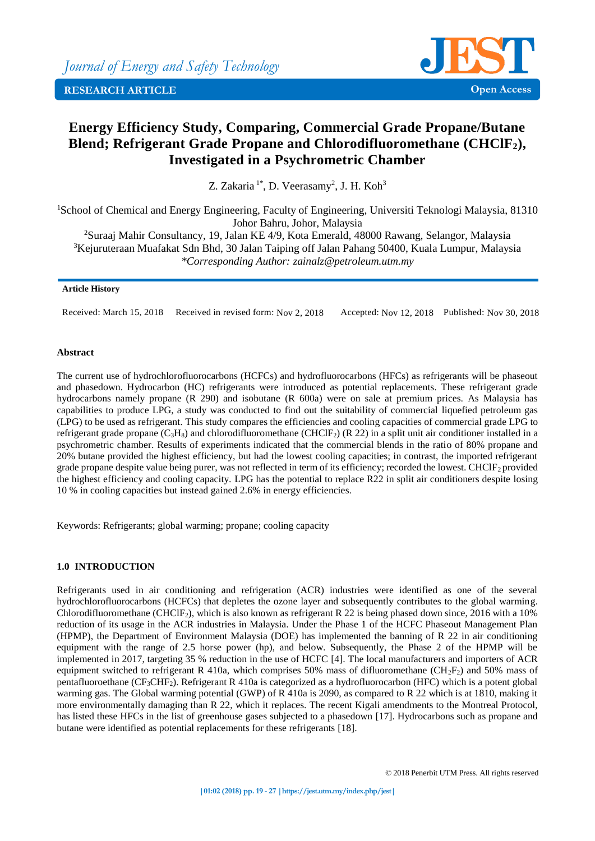

# **Energy Efficiency Study, Comparing, Commercial Grade Propane/Butane Blend; Refrigerant Grade Propane and Chlorodifluoromethane (CHClF2), Investigated in a Psychrometric Chamber**

Z. Zakaria<sup>1\*</sup>, D. Veerasamy<sup>2</sup>, J. H. Koh<sup>3</sup>

<sup>1</sup>School of Chemical and Energy Engineering, Faculty of Engineering, Universiti Teknologi Malaysia, 81310 Johor Bahru, Johor, Malaysia

<sup>2</sup>Suraaj Mahir Consultancy, 19, Jalan KE 4/9, Kota Emerald, 48000 Rawang, Selangor, Malaysia <sup>3</sup>Kejuruteraan Muafakat Sdn Bhd, 30 Jalan Taiping off Jalan Pahang 50400, Kuala Lumpur, Malaysia *\*Corresponding Author: [zainalz@petroleum.utm.my](mailto:zainalz@petroleum.utm.my)*

## **Article History**

Received: March 15, 2018 Received in revised form: Nov 2, 2018 Accepted: Nov 12, 2018 Published: Nov 30, 2018

# **Abstract**

The current use of hydrochlorofluorocarbons (HCFCs) and hydrofluorocarbons (HFCs) as refrigerants will be phaseout and phasedown. Hydrocarbon (HC) refrigerants were introduced as potential replacements. These refrigerant grade hydrocarbons namely propane (R 290) and isobutane (R 600a) were on sale at premium prices. As Malaysia has capabilities to produce LPG, a study was conducted to find out the suitability of commercial liquefied petroleum gas (LPG) to be used as refrigerant. This study compares the efficiencies and cooling capacities of commercial grade LPG to refrigerant grade propane (C<sub>3</sub>H<sub>8</sub>) and chlorodifluoromethane (CHClF<sub>2</sub>) (R 22) in a split unit air conditioner installed in a psychrometric chamber. Results of experiments indicated that the commercial blends in the ratio of 80% propane and 20% butane provided the highest efficiency, but had the lowest cooling capacities; in contrast, the imported refrigerant grade propane despite value being purer, was not reflected in term of its efficiency; recorded the lowest. CHClF<sub>2</sub> provided the highest efficiency and cooling capacity. LPG has the potential to replace R22 in split air conditioners despite losing 10 % in cooling capacities but instead gained 2.6% in energy efficiencies.

Keywords: Refrigerants; global warming; propane; cooling capacity

# **1.0 INTRODUCTION**

Refrigerants used in air conditioning and refrigeration (ACR) industries were identified as one of the several hydrochlorofluorocarbons (HCFCs) that depletes the ozone layer and subsequently contributes to the global warming. Chlorodifluoromethane (CHClF<sub>2</sub>), which is also known as refrigerant R 22 is being phased down since, 2016 with a 10% reduction of its usage in the ACR industries in Malaysia. Under the Phase 1 of the HCFC Phaseout Management Plan (HPMP), the Department of Environment Malaysia (DOE) has implemented the banning of R 22 in air conditioning equipment with the range of 2.5 horse power (hp), and below. Subsequently, the Phase 2 of the HPMP will be implemented in 2017, targeting 35 % reduction in the use of HCFC [4]. The local manufacturers and importers of ACR equipment switched to refrigerant R 410a, which comprises 50% mass of difluoromethane (CH<sub>2</sub>F<sub>2</sub>) and 50% mass of pentafluoroethane (CF3CHF2). Refrigerant R 410a is categorized as a hydrofluorocarbon (HFC) which is a potent global warming gas. The Global warming potential (GWP) of R 410a is 2090, as compared to R 22 which is at 1810, making it more environmentally damaging than R 22, which it replaces. The recent Kigali amendments to the Montreal Protocol, has listed these HFCs in the list of greenhouse gases subjected to a phasedown [17]. Hydrocarbons such as propane and butane were identified as potential replacements for these refrigerants [18].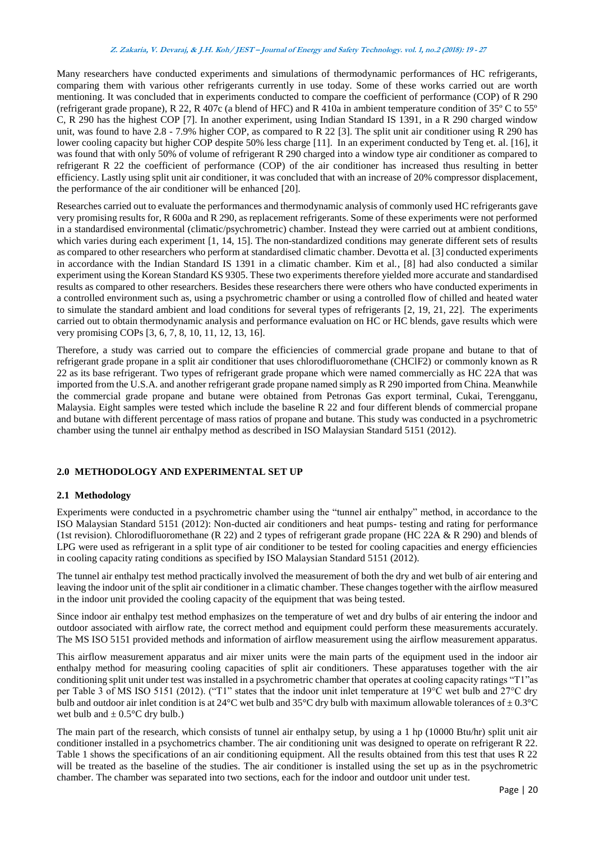#### **Z. Zakaria, V. Devaraj, & J.H. Koh/ JEST – Journal of Energy and Safety Technology. vol. 1, no.2 (2018): <sup>19</sup> - <sup>27</sup>**

Many researchers have conducted experiments and simulations of thermodynamic performances of HC refrigerants, comparing them with various other refrigerants currently in use today. Some of these works carried out are worth mentioning. It was concluded that in experiments conducted to compare the coefficient of performance (COP) of R 290 (refrigerant grade propane), R 22, R 407c (a blend of HFC) and R 410a in ambient temperature condition of 35º C to 55º C, R 290 has the highest COP [7]. In another experiment, using Indian Standard IS 1391, in a R 290 charged window unit, was found to have 2.8 - 7.9% higher COP, as compared to R 22 [3]. The split unit air conditioner using R 290 has lower cooling capacity but higher COP despite 50% less charge [11]. In an experiment conducted by Teng et. al. [16], it was found that with only 50% of volume of refrigerant R 290 charged into a window type air conditioner as compared to refrigerant R 22 the coefficient of performance (COP) of the air conditioner has increased thus resulting in better efficiency. Lastly using split unit air conditioner, it was concluded that with an increase of 20% compressor displacement, the performance of the air conditioner will be enhanced [20].

Researches carried out to evaluate the performances and thermodynamic analysis of commonly used HC refrigerants gave very promising results for, R 600a and R 290, as replacement refrigerants. Some of these experiments were not performed in a standardised environmental (climatic/psychrometric) chamber. Instead they were carried out at ambient conditions, which varies during each experiment [1, 14, 15]. The non-standardized conditions may generate different sets of results as compared to other researchers who perform at standardised climatic chamber. Devotta et al. [3] conducted experiments in accordance with the Indian Standard IS 1391 in a climatic chamber. Kim et al., [8] had also conducted a similar experiment using the Korean Standard KS 9305. These two experiments therefore yielded more accurate and standardised results as compared to other researchers. Besides these researchers there were others who have conducted experiments in a controlled environment such as, using a psychrometric chamber or using a controlled flow of chilled and heated water to simulate the standard ambient and load conditions for several types of refrigerants [2, 19, 21, 22]. The experiments carried out to obtain thermodynamic analysis and performance evaluation on HC or HC blends, gave results which were very promising COPs [3, 6, 7, 8, 10, 11, 12, 13, 16].

Therefore, a study was carried out to compare the efficiencies of commercial grade propane and butane to that of refrigerant grade propane in a split air conditioner that uses chlorodifluoromethane (CHClF2) or commonly known as R 22 as its base refrigerant. Two types of refrigerant grade propane which were named commercially as HC 22A that was imported from the U.S.A. and another refrigerant grade propane named simply as R 290 imported from China. Meanwhile the commercial grade propane and butane were obtained from Petronas Gas export terminal, Cukai, Terengganu, Malaysia. Eight samples were tested which include the baseline R 22 and four different blends of commercial propane and butane with different percentage of mass ratios of propane and butane. This study was conducted in a psychrometric chamber using the tunnel air enthalpy method as described in ISO Malaysian Standard 5151 (2012).

# **2.0 METHODOLOGY AND EXPERIMENTAL SET UP**

## **2.1 Methodology**

Experiments were conducted in a psychrometric chamber using the "tunnel air enthalpy" method, in accordance to the ISO Malaysian Standard 5151 (2012): Non-ducted air conditioners and heat pumps- testing and rating for performance (1st revision). Chlorodifluoromethane (R 22) and 2 types of refrigerant grade propane (HC 22A & R 290) and blends of LPG were used as refrigerant in a split type of air conditioner to be tested for cooling capacities and energy efficiencies in cooling capacity rating conditions as specified by ISO Malaysian Standard 5151 (2012).

The tunnel air enthalpy test method practically involved the measurement of both the dry and wet bulb of air entering and leaving the indoor unit of the split air conditioner in a climatic chamber. These changes together with the airflow measured in the indoor unit provided the cooling capacity of the equipment that was being tested.

Since indoor air enthalpy test method emphasizes on the temperature of wet and dry bulbs of air entering the indoor and outdoor associated with airflow rate, the correct method and equipment could perform these measurements accurately. The MS ISO 5151 provided methods and information of airflow measurement using the airflow measurement apparatus.

This airflow measurement apparatus and air mixer units were the main parts of the equipment used in the indoor air enthalpy method for measuring cooling capacities of split air conditioners. These apparatuses together with the air conditioning split unit under test was installed in a psychrometric chamber that operates at cooling capacity ratings "T1"as per Table 3 of MS ISO 5151 (2012). ("T1" states that the indoor unit inlet temperature at 19°C wet bulb and 27°C dry bulb and outdoor air inlet condition is at 24 $^{\circ}$ C wet bulb and 35 $^{\circ}$ C dry bulb with maximum allowable tolerances of  $\pm$  0.3 $^{\circ}$ C wet bulb and  $\pm$  0.5 $\degree$ C dry bulb.)

The main part of the research, which consists of tunnel air enthalpy setup, by using a 1 hp (10000 Btu/hr) split unit air conditioner installed in a psychometrics chamber. The air conditioning unit was designed to operate on refrigerant R 22. Table 1 shows the specifications of an air conditioning equipment. All the results obtained from this test that uses R 22 will be treated as the baseline of the studies. The air conditioner is installed using the set up as in the psychrometric chamber. The chamber was separated into two sections, each for the indoor and outdoor unit under test.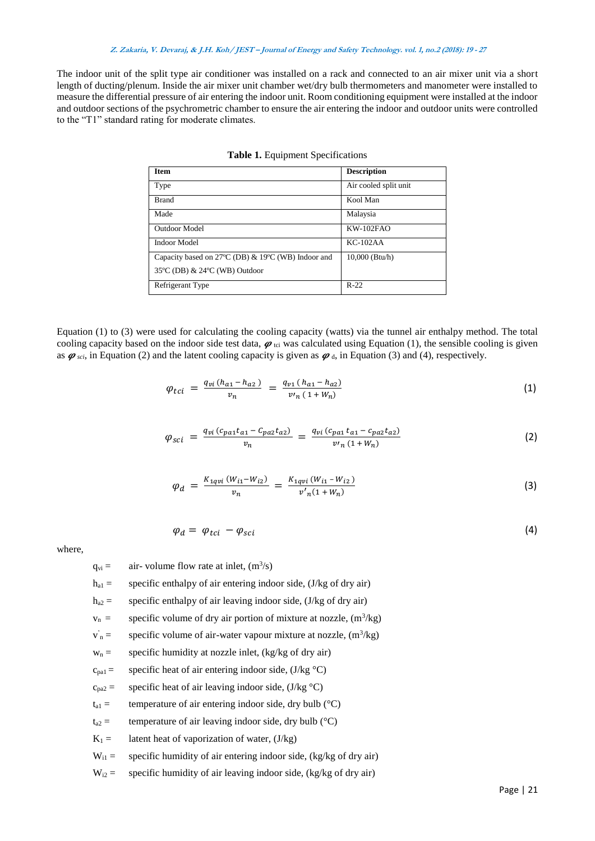## **Z. Zakaria, V. Devaraj, & J.H. Koh/ JEST – Journal of Energy and Safety Technology. vol. 1, no.2 (2018): <sup>19</sup> - <sup>27</sup>**

The indoor unit of the split type air conditioner was installed on a rack and connected to an air mixer unit via a short length of ducting/plenum. Inside the air mixer unit chamber wet/dry bulb thermometers and manometer were installed to measure the differential pressure of air entering the indoor unit. Room conditioning equipment were installed at the indoor and outdoor sections of the psychrometric chamber to ensure the air entering the indoor and outdoor units were controlled to the "T1" standard rating for moderate climates.

| <b>Item</b>                                        | <b>Description</b>    |
|----------------------------------------------------|-----------------------|
| Type                                               | Air cooled split unit |
| <b>Brand</b>                                       | Kool Man              |
| Made                                               | Malaysia              |
| <b>Outdoor Model</b>                               | $KW-102FAO$           |
| <b>Indoor Model</b>                                | $KC-102AA$            |
| Capacity based on 27°C (DB) & 19°C (WB) Indoor and | $10,000$ (Btu/h)      |
| 35°C (DB) & 24°C (WB) Outdoor                      |                       |
| Refrigerant Type                                   | $R-22$                |

| Table 1. Equipment Specifications |  |  |  |  |
|-----------------------------------|--|--|--|--|
|-----------------------------------|--|--|--|--|

Equation (1) to (3) were used for calculating the cooling capacity (watts) via the tunnel air enthalpy method. The total cooling capacity based on the indoor side test data,  $\varphi$ <sub>tci</sub> was calculated using Equation (1), the sensible cooling is given as  $\varphi_{\text{sci}}$ , in Equation (2) and the latent cooling capacity is given as  $\varphi_{\text{d}}$ , in Equation (3) and (4), respectively.

$$
\varphi_{tci} = \frac{q_{vi} (h_{a1} - h_{a2})}{v_n} = \frac{q_{v1} (h_{a1} - h_{a2})}{v_n (1 + W_n)}
$$
(1)

$$
\varphi_{sci} = \frac{q_{vi} (c_{pa1} t_{a1} - c_{pa2} t_{a2})}{v_n} = \frac{q_{vi} (c_{pa1} t_{a1} - c_{pa2} t_{a2})}{v_n (1 + W_n)}
$$
(2)

$$
\varphi_d = \frac{K_{1qvi}(W_{i1} - W_{i2})}{v_n} = \frac{K_{1qvi}(W_{i1} - W_{i2})}{v'_n(1 + W_n)}
$$
\n(3)

$$
\varphi_d = \varphi_{tci} - \varphi_{sci} \tag{4}
$$

where,

 $q_{vi}$  = air-volume flow rate at inlet,  $(m^3/s)$ 

- $h_{a1}$  = specific enthalpy of air entering indoor side, (J/kg of dry air)
- $h_{a2}$  = specific enthalpy of air leaving indoor side, (J/kg of dry air)
- $v_n$  = specific volume of dry air portion of mixture at nozzle,  $(m^3/kg)$

v '  $n =$  specific volume of air-water vapour mixture at nozzle,  $(m^3/kg)$ 

- $w_n$  = specific humidity at nozzle inlet, (kg/kg of dry air)
- $c_{pa1}$  = specific heat of air entering indoor side, (J/kg  $°C$ )

$$
c_{pa2} =
$$
 specific heat of air leaving indoor side, (J/kg °C)

- $t_{a1}$  = temperature of air entering indoor side, dry bulb ( $^{\circ}$ C)
- $t_{a2}$  = temperature of air leaving indoor side, dry bulb ( $^{\circ}$ C)
- $K_1 =$  latent heat of vaporization of water, (J/kg)
- $W_{i1}$  = specific humidity of air entering indoor side, (kg/kg of dry air)
- $W_{i2}$  = specific humidity of air leaving indoor side, (kg/kg of dry air)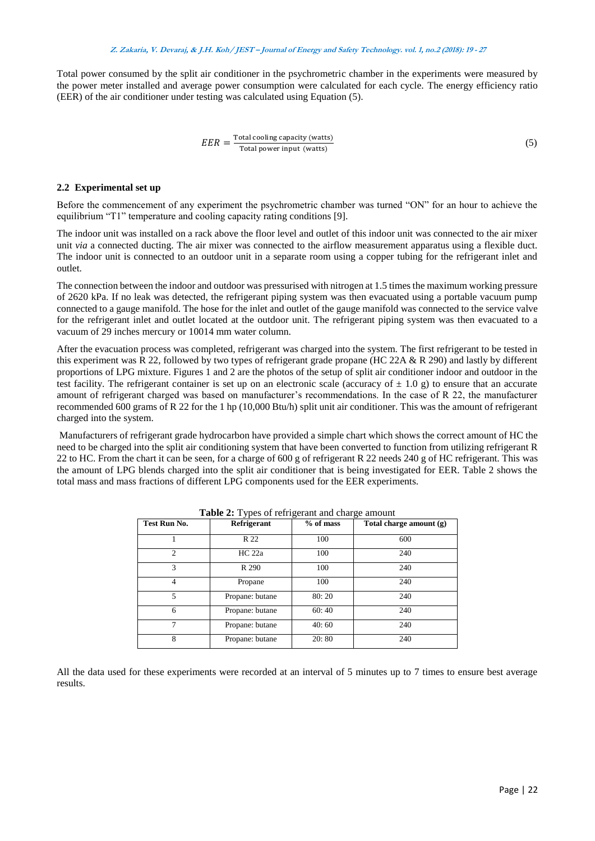Total power consumed by the split air conditioner in the psychrometric chamber in the experiments were measured by the power meter installed and average power consumption were calculated for each cycle. The energy efficiency ratio (EER) of the air conditioner under testing was calculated using Equation (5).

$$
EER = \frac{\text{Total cooling capacity (watts)}}{\text{Total power input (watts)}}
$$
 (5)

#### **2.2 Experimental set up**

Before the commencement of any experiment the psychrometric chamber was turned "ON" for an hour to achieve the equilibrium "T1" temperature and cooling capacity rating conditions [9].

The indoor unit was installed on a rack above the floor level and outlet of this indoor unit was connected to the air mixer unit *via* a connected ducting. The air mixer was connected to the airflow measurement apparatus using a flexible duct. The indoor unit is connected to an outdoor unit in a separate room using a copper tubing for the refrigerant inlet and outlet.

The connection between the indoor and outdoor was pressurised with nitrogen at 1.5 times the maximum working pressure of 2620 kPa. If no leak was detected, the refrigerant piping system was then evacuated using a portable vacuum pump connected to a gauge manifold. The hose for the inlet and outlet of the gauge manifold was connected to the service valve for the refrigerant inlet and outlet located at the outdoor unit. The refrigerant piping system was then evacuated to a vacuum of 29 inches mercury or 10014 mm water column.

After the evacuation process was completed, refrigerant was charged into the system. The first refrigerant to be tested in this experiment was R 22, followed by two types of refrigerant grade propane (HC 22A & R 290) and lastly by different proportions of LPG mixture. Figures 1 and 2 are the photos of the setup of split air conditioner indoor and outdoor in the test facility. The refrigerant container is set up on an electronic scale (accuracy of  $\pm$  1.0 g) to ensure that an accurate amount of refrigerant charged was based on manufacturer's recommendations. In the case of R 22, the manufacturer recommended 600 grams of R 22 for the 1 hp (10,000 Btu/h) split unit air conditioner. This was the amount of refrigerant charged into the system.

Manufacturers of refrigerant grade hydrocarbon have provided a simple chart which shows the correct amount of HC the need to be charged into the split air conditioning system that have been converted to function from utilizing refrigerant R 22 to HC. From the chart it can be seen, for a charge of 600 g of refrigerant R 22 needs 240 g of HC refrigerant. This was the amount of LPG blends charged into the split air conditioner that is being investigated for EER. Table 2 shows the total mass and mass fractions of different LPG components used for the EER experiments.

| Test Run No.   | Refrigerant     | % of mass | Total charge amount (g) |  |
|----------------|-----------------|-----------|-------------------------|--|
|                | R 22            | 100       | 600                     |  |
| $\mathfrak{D}$ | HC 22a          | 100       | 240                     |  |
| 3              | R 290           | 100       | 240                     |  |
| 4              | Propane         | 100       | 240                     |  |
| 5              | Propane: butane | 80:20     | 240                     |  |
| 6              | Propane: butane | 60:40     | 240                     |  |
| 7              | Propane: butane | 40:60     | 240                     |  |
| 8              | Propane: butane | 20:80     | 240                     |  |

|  | Table 2: Types of refrigerant and charge amount |  |
|--|-------------------------------------------------|--|
|--|-------------------------------------------------|--|

All the data used for these experiments were recorded at an interval of 5 minutes up to 7 times to ensure best average results.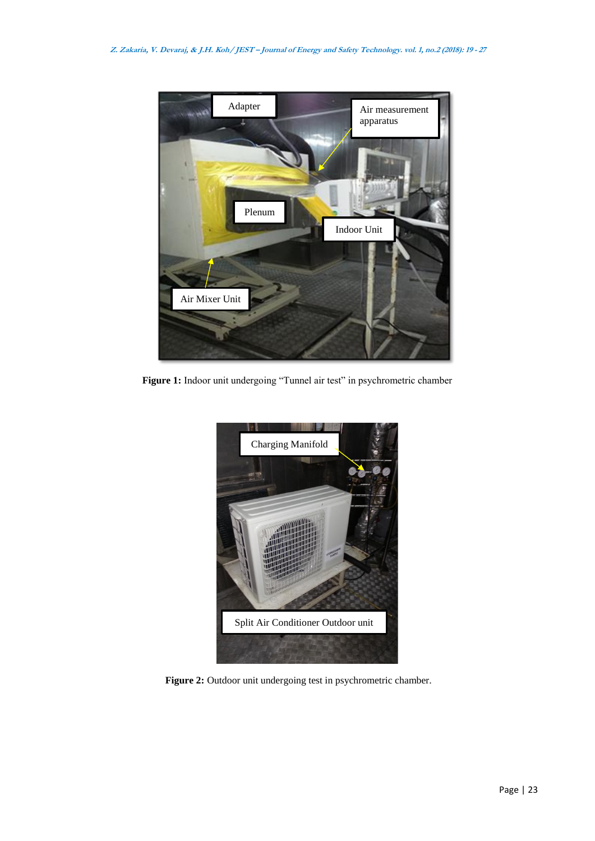

Figure 1: Indoor unit undergoing "Tunnel air test" in psychrometric chamber



**Figure 2:** Outdoor unit undergoing test in psychrometric chamber.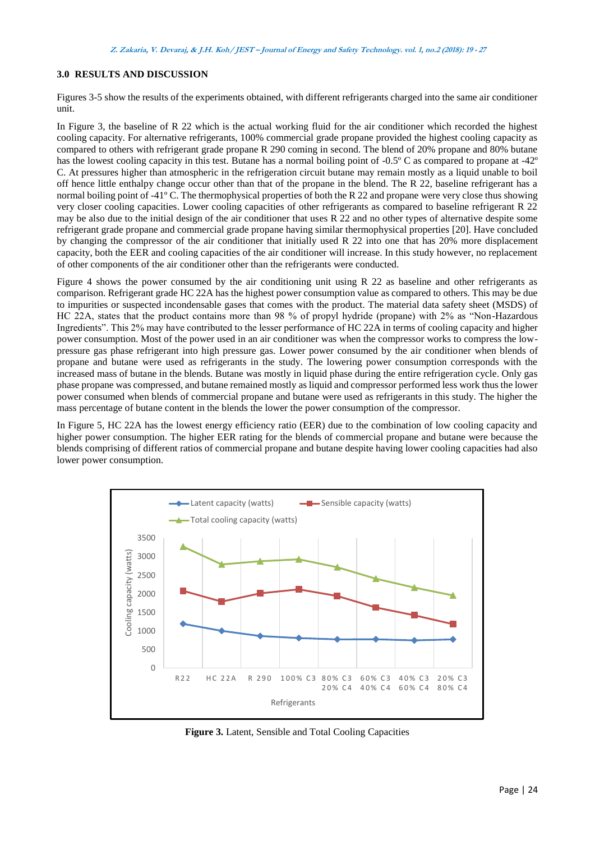# **3.0 RESULTS AND DISCUSSION**

Figures 3-5 show the results of the experiments obtained, with different refrigerants charged into the same air conditioner unit.

In Figure 3, the baseline of R 22 which is the actual working fluid for the air conditioner which recorded the highest cooling capacity. For alternative refrigerants, 100% commercial grade propane provided the highest cooling capacity as compared to others with refrigerant grade propane R 290 coming in second. The blend of 20% propane and 80% butane has the lowest cooling capacity in this test. Butane has a normal boiling point of -0.5º C as compared to propane at -42º C. At pressures higher than atmospheric in the refrigeration circuit butane may remain mostly as a liquid unable to boil off hence little enthalpy change occur other than that of the propane in the blend. The R 22, baseline refrigerant has a normal boiling point of -41º C. The thermophysical properties of both the R 22 and propane were very close thus showing very closer cooling capacities. Lower cooling capacities of other refrigerants as compared to baseline refrigerant R 22 may be also due to the initial design of the air conditioner that uses R 22 and no other types of alternative despite some refrigerant grade propane and commercial grade propane having similar thermophysical properties [20]. Have concluded by changing the compressor of the air conditioner that initially used R 22 into one that has 20% more displacement capacity, both the EER and cooling capacities of the air conditioner will increase. In this study however, no replacement of other components of the air conditioner other than the refrigerants were conducted.

Figure 4 shows the power consumed by the air conditioning unit using R 22 as baseline and other refrigerants as comparison. Refrigerant grade HC 22A has the highest power consumption value as compared to others. This may be due to impurities or suspected incondensable gases that comes with the product. The material data safety sheet (MSDS) of HC 22A, states that the product contains more than 98 % of propyl hydride (propane) with 2% as "Non-Hazardous Ingredients". This 2% may have contributed to the lesser performance of HC 22A in terms of cooling capacity and higher power consumption. Most of the power used in an air conditioner was when the compressor works to compress the lowpressure gas phase refrigerant into high pressure gas. Lower power consumed by the air conditioner when blends of propane and butane were used as refrigerants in the study. The lowering power consumption corresponds with the increased mass of butane in the blends. Butane was mostly in liquid phase during the entire refrigeration cycle. Only gas phase propane was compressed, and butane remained mostly as liquid and compressor performed less work thus the lower power consumed when blends of commercial propane and butane were used as refrigerants in this study. The higher the mass percentage of butane content in the blends the lower the power consumption of the compressor.

In Figure 5, HC 22A has the lowest energy efficiency ratio (EER) due to the combination of low cooling capacity and higher power consumption. The higher EER rating for the blends of commercial propane and butane were because the blends comprising of different ratios of commercial propane and butane despite having lower cooling capacities had also lower power consumption.



**Figure 3.** Latent, Sensible and Total Cooling Capacities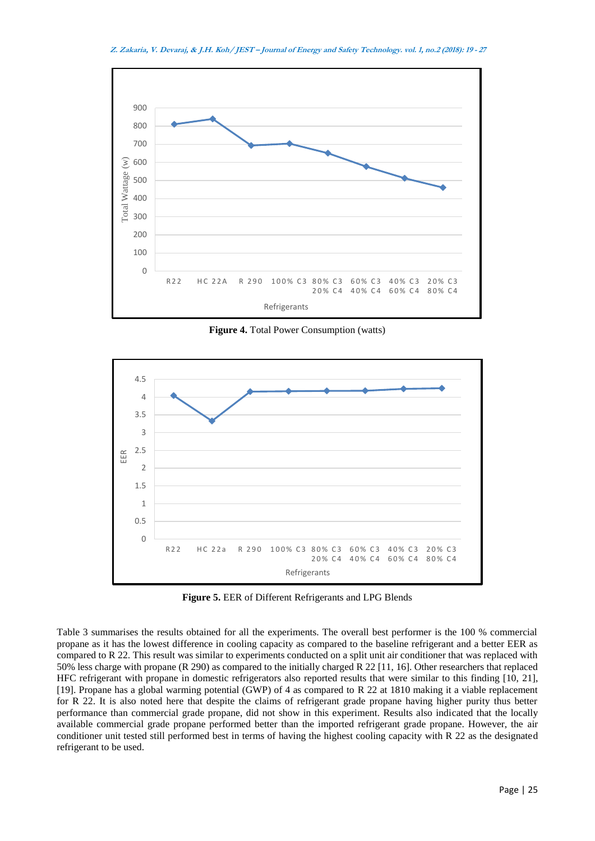

**Figure 4.** Total Power Consumption (watts)



**Figure 5.** EER of Different Refrigerants and LPG Blends

Table 3 summarises the results obtained for all the experiments. The overall best performer is the 100 % commercial propane as it has the lowest difference in cooling capacity as compared to the baseline refrigerant and a better EER as compared to R 22. This result was similar to experiments conducted on a split unit air conditioner that was replaced with 50% less charge with propane (R 290) as compared to the initially charged R 22 [11, 16]. Other researchers that replaced HFC refrigerant with propane in domestic refrigerators also reported results that were similar to this finding [10, 21], [19]. Propane has a global warming potential (GWP) of 4 as compared to R 22 at 1810 making it a viable replacement for R 22. It is also noted here that despite the claims of refrigerant grade propane having higher purity thus better performance than commercial grade propane, did not show in this experiment. Results also indicated that the locally available commercial grade propane performed better than the imported refrigerant grade propane. However, the air conditioner unit tested still performed best in terms of having the highest cooling capacity with R 22 as the designated refrigerant to be used.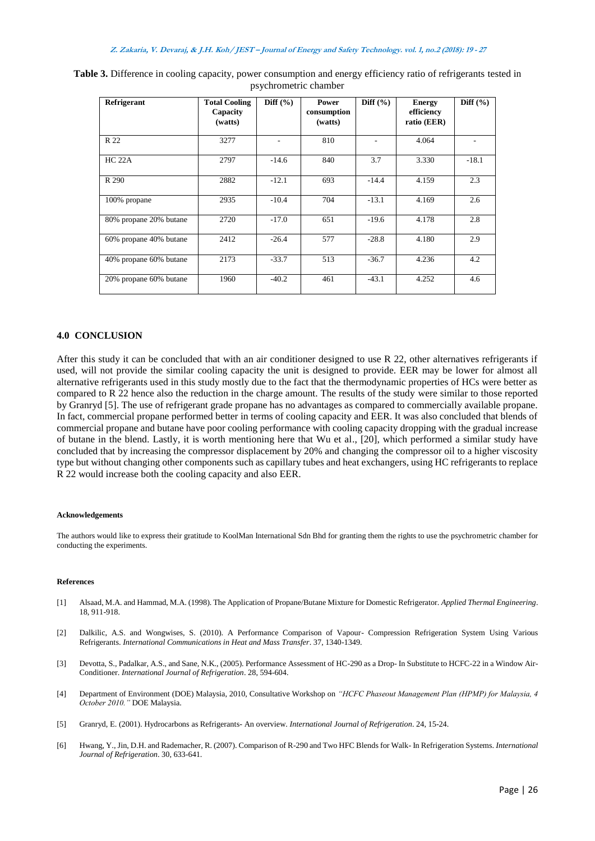| Refrigerant            | <b>Total Cooling</b><br>Capacity<br>(watts) | Diff $(\% )$ | Power<br>consumption<br>(watts) | Diff $(\% )$ | <b>Energy</b><br>efficiency<br>ratio (EER) | Diff $(\% )$ |
|------------------------|---------------------------------------------|--------------|---------------------------------|--------------|--------------------------------------------|--------------|
| R 22                   | 3277                                        |              | 810                             |              | 4.064                                      |              |
| HC 22A                 | 2797                                        | $-14.6$      | 840                             | 3.7          | 3.330                                      | $-18.1$      |
| R 290                  | 2882                                        | $-12.1$      | 693                             | $-14.4$      | 4.159                                      | 2.3          |
| 100% propane           | 2935                                        | $-10.4$      | 704                             | $-13.1$      | 4.169                                      | 2.6          |
| 80% propane 20% butane | 2720                                        | $-17.0$      | 651                             | $-19.6$      | 4.178                                      | 2.8          |
| 60% propane 40% butane | 2412                                        | $-26.4$      | 577                             | $-28.8$      | 4.180                                      | 2.9          |
| 40% propane 60% butane | 2173                                        | $-33.7$      | 513                             | $-36.7$      | 4.236                                      | 4.2          |
| 20% propane 60% butane | 1960                                        | $-40.2$      | 461                             | $-43.1$      | 4.252                                      | 4.6          |

**Table 3.** Difference in cooling capacity, power consumption and energy efficiency ratio of refrigerants tested in psychrometric chamber

## **4.0 CONCLUSION**

After this study it can be concluded that with an air conditioner designed to use R 22, other alternatives refrigerants if used, will not provide the similar cooling capacity the unit is designed to provide. EER may be lower for almost all alternative refrigerants used in this study mostly due to the fact that the thermodynamic properties of HCs were better as compared to R 22 hence also the reduction in the charge amount. The results of the study were similar to those reported by Granryd [5]. The use of refrigerant grade propane has no advantages as compared to commercially available propane. In fact, commercial propane performed better in terms of cooling capacity and EER. It was also concluded that blends of commercial propane and butane have poor cooling performance with cooling capacity dropping with the gradual increase of butane in the blend. Lastly, it is worth mentioning here that Wu et al., [20], which performed a similar study have concluded that by increasing the compressor displacement by 20% and changing the compressor oil to a higher viscosity type but without changing other components such as capillary tubes and heat exchangers, using HC refrigerants to replace R 22 would increase both the cooling capacity and also EER.

#### **Acknowledgements**

The authors would like to express their gratitude to KoolMan International Sdn Bhd for granting them the rights to use the psychrometric chamber for conducting the experiments.

#### **References**

- [1] Alsaad, M.A. and Hammad, M.A. (1998). The Application of Propane/Butane Mixture for Domestic Refrigerator. *Applied Thermal Engineering*. 18, 911-918.
- [2] Dalkilic, A.S. and Wongwises, S. (2010). A Performance Comparison of Vapour- Compression Refrigeration System Using Various Refrigerants. *International Communications in Heat and Mass Transfer*. 37, 1340-1349.
- [3] Devotta, S., Padalkar, A.S., and Sane, N.K., (2005). Performance Assessment of HC-290 as a Drop- In Substitute to HCFC-22 in a Window Air-Conditioner. *International Journal of Refrigeration*. 28, 594-604.
- [4] Department of Environment (DOE) Malaysia, 2010, Consultative Workshop on *"HCFC Phaseout Management Plan (HPMP) for Malaysia, 4 October 2010."* DOE Malaysia.
- [5] Granryd, E. (2001). Hydrocarbons as Refrigerants- An overview. *International Journal of Refrigeration*. 24, 15-24.
- [6] Hwang, Y., Jin, D.H. and Rademacher, R. (2007). Comparison of R-290 and Two HFC Blends for Walk- In Refrigeration Systems. *International Journal of Refrigeration*. 30, 633-641.